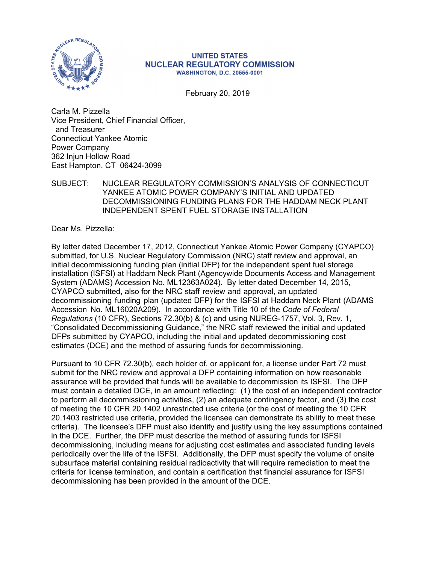

#### **UNITED STATES NUCLEAR REGULATORY COMMISSION WASHINGTON, D.C. 20555-0001**

February 20, 2019

Carla M. Pizzella Vice President, Chief Financial Officer, and Treasurer Connecticut Yankee Atomic Power Company 362 Injun Hollow Road East Hampton, CT 06424-3099

#### SUBJECT: NUCLEAR REGULATORY COMMISSION'S ANALYSIS OF CONNECTICUT YANKEE ATOMIC POWER COMPANY'S INITIAL AND UPDATED DECOMMISSIONING FUNDING PLANS FOR THE HADDAM NECK PLANT INDEPENDENT SPENT FUEL STORAGE INSTALLATION

Dear Ms. Pizzella:

By letter dated December 17, 2012, Connecticut Yankee Atomic Power Company (CYAPCO) submitted, for U.S. Nuclear Regulatory Commission (NRC) staff review and approval, an initial decommissioning funding plan (initial DFP) for the independent spent fuel storage installation (ISFSI) at Haddam Neck Plant (Agencywide Documents Access and Management System (ADAMS) Accession No. ML12363A024). By letter dated December 14, 2015, CYAPCO submitted, also for the NRC staff review and approval, an updated decommissioning funding plan (updated DFP) for the ISFSl at Haddam Neck Plant (ADAMS Accession No. ML16020A209). In accordance with Title 10 of the *Code of Federal Regulations* (10 CFR), Sections 72.30(b) & (c) and using NUREG-1757, Vol. 3, Rev. 1, "Consolidated Decommissioning Guidance," the NRC staff reviewed the initial and updated DFPs submitted by CYAPCO, including the initial and updated decommissioning cost estimates (DCE) and the method of assuring funds for decommissioning.

Pursuant to 10 CFR 72.30(b), each holder of, or applicant for, a license under Part 72 must submit for the NRC review and approval a DFP containing information on how reasonable assurance will be provided that funds will be available to decommission its ISFSI. The DFP must contain a detailed DCE, in an amount reflecting: (1) the cost of an independent contractor to perform all decommissioning activities, (2) an adequate contingency factor, and (3) the cost of meeting the 10 CFR 20.1402 unrestricted use criteria (or the cost of meeting the 10 CFR 20.1403 restricted use criteria, provided the licensee can demonstrate its ability to meet these criteria). The licensee's DFP must also identify and justify using the key assumptions contained in the DCE. Further, the DFP must describe the method of assuring funds for ISFSI decommissioning, including means for adjusting cost estimates and associated funding levels periodically over the life of the ISFSI. Additionally, the DFP must specify the volume of onsite subsurface material containing residual radioactivity that will require remediation to meet the criteria for license termination, and contain a certification that financial assurance for ISFSI decommissioning has been provided in the amount of the DCE.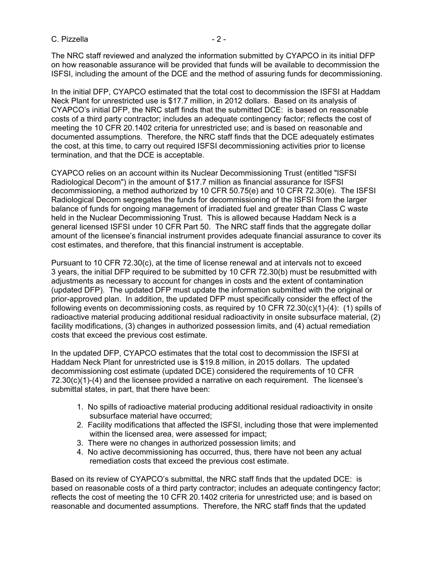C. Pizzella - 2 -

The NRC staff reviewed and analyzed the information submitted by CYAPCO in its initial DFP on how reasonable assurance will be provided that funds will be available to decommission the ISFSI, including the amount of the DCE and the method of assuring funds for decommissioning.

In the initial DFP, CYAPCO estimated that the total cost to decommission the ISFSI at Haddam Neck Plant for unrestricted use is \$17.7 million, in 2012 dollars. Based on its analysis of CYAPCO's initial DFP, the NRC staff finds that the submitted DCE: is based on reasonable costs of a third party contractor; includes an adequate contingency factor; reflects the cost of meeting the 10 CFR 20.1402 criteria for unrestricted use; and is based on reasonable and documented assumptions. Therefore, the NRC staff finds that the DCE adequately estimates the cost, at this time, to carry out required ISFSI decommissioning activities prior to license termination, and that the DCE is acceptable.

CYAPCO relies on an account within its Nuclear Decommissioning Trust (entitled "ISFSI Radiological Decom") in the amount of \$17.7 million as financial assurance for ISFSI decommissioning, a method authorized by 10 CFR 50.75(e) and 10 CFR 72.30(e). The ISFSI Radiological Decom segregates the funds for decommissioning of the ISFSI from the larger balance of funds for ongoing management of irradiated fuel and greater than Class C waste held in the Nuclear Decommissioning Trust. This is allowed because Haddam Neck is a general licensed ISFSI under 10 CFR Part 50. The NRC staff finds that the aggregate dollar amount of the licensee's financial instrument provides adequate financial assurance to cover its cost estimates, and therefore, that this financial instrument is acceptable.

Pursuant to 10 CFR 72.30(c), at the time of license renewal and at intervals not to exceed 3 years, the initial DFP required to be submitted by 10 CFR 72.30(b) must be resubmitted with adjustments as necessary to account for changes in costs and the extent of contamination (updated DFP). The updated DFP must update the information submitted with the original or prior-approved plan. In addition, the updated DFP must specifically consider the effect of the following events on decommissioning costs, as required by 10 CFR 72.30(c)(1)-(4): (1) spills of radioactive material producing additional residual radioactivity in onsite subsurface material, (2) facility modifications, (3) changes in authorized possession limits, and (4) actual remediation costs that exceed the previous cost estimate.

In the updated DFP, CYAPCO estimates that the total cost to decommission the ISFSI at Haddam Neck Plant for unrestricted use is \$19.8 million, in 2015 dollars. The updated decommissioning cost estimate (updated DCE) considered the requirements of 10 CFR  $72.30(c)(1)-(4)$  and the licensee provided a narrative on each requirement. The licensee's submittal states, in part, that there have been:

- 1. No spills of radioactive material producing additional residual radioactivity in onsite subsurface material have occurred;
- 2. Facility modifications that affected the ISFSI, including those that were implemented within the licensed area, were assessed for impact;
- 3. There were no changes in authorized possession limits; and
- 4. No active decommissioning has occurred, thus, there have not been any actual remediation costs that exceed the previous cost estimate.

Based on its review of CYAPCO's submittal, the NRC staff finds that the updated DCE: is based on reasonable costs of a third party contractor; includes an adequate contingency factor; reflects the cost of meeting the 10 CFR 20.1402 criteria for unrestricted use; and is based on reasonable and documented assumptions. Therefore, the NRC staff finds that the updated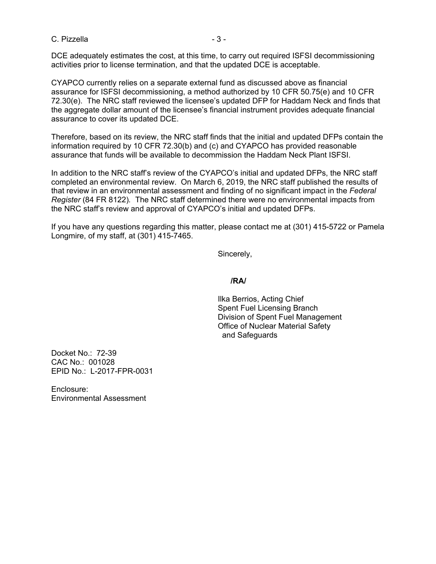#### C. Pizzella - 3 - 3 -

DCE adequately estimates the cost, at this time, to carry out required ISFSI decommissioning activities prior to license termination, and that the updated DCE is acceptable.

CYAPCO currently relies on a separate external fund as discussed above as financial assurance for ISFSI decommissioning, a method authorized by 10 CFR 50.75(e) and 10 CFR 72.30(e). The NRC staff reviewed the licensee's updated DFP for Haddam Neck and finds that the aggregate dollar amount of the licensee's financial instrument provides adequate financial assurance to cover its updated DCE.

Therefore, based on its review, the NRC staff finds that the initial and updated DFPs contain the information required by 10 CFR 72.30(b) and (c) and CYAPCO has provided reasonable assurance that funds will be available to decommission the Haddam Neck Plant ISFSI.

In addition to the NRC staff's review of the CYAPCO's initial and updated DFPs, the NRC staff completed an environmental review. On March 6, 2019, the NRC staff published the results of that review in an environmental assessment and finding of no significant impact in the *Federal Register* (84 FR 8122)*.* The NRC staff determined there were no environmental impacts from the NRC staff's review and approval of CYAPCO's initial and updated DFPs.

If you have any questions regarding this matter, please contact me at (301) 415-5722 or Pamela Longmire, of my staff, at (301) 415-7465.

Sincerely,

### **/RA/**

 Ilka Berrios, Acting Chief Spent Fuel Licensing Branch Division of Spent Fuel Management Office of Nuclear Material Safety and Safeguards

Docket No.: 72-39 CAC No.: 001028 EPID No.: L-2017-FPR-0031

Enclosure: Environmental Assessment